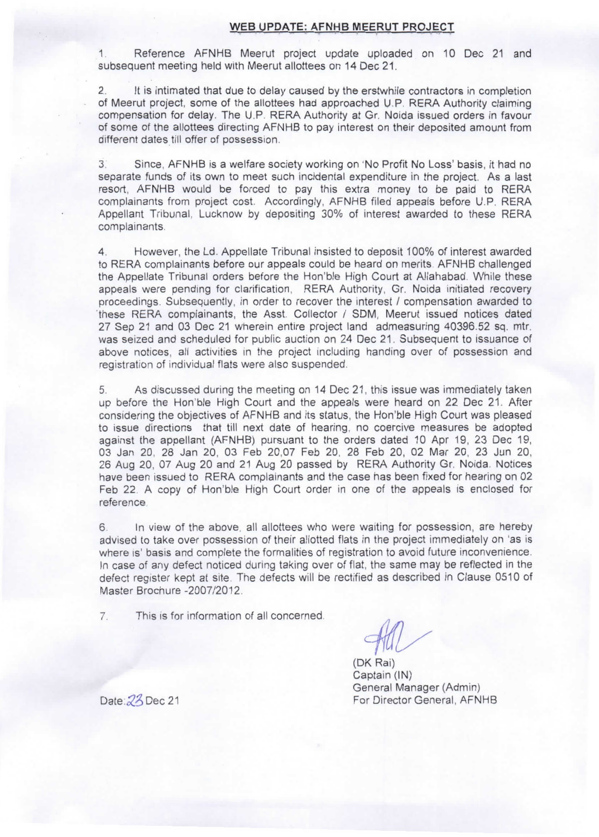## **WEB UPDATE: AFNHB MEERUT PROJECT**

Reference AFNHB Meerut project update uploaded on 10 Dec 21 and subsequent meeting held with Meerut allottees on 14 Dec 21.

2. It is intimated that due to delay caused by the erstwhile contractors in completion of Meerut project, some of the allottees had approached U.P. RERA Authority claiming compensation for delay. The U.P. RERA Authority at Gr. Noida issued orders in favour of some of the allottees directing AFNHB to pay interest on their deposited amount from different dates till offer of possession.

3. Since, AFNHB is a welfare society working on 'No Profit No Loss' basis, it had no separate funds of its own to meet such incidental expenditure in the project. As a last resort, AFNHB would be forced to pay this extra money to be paid to RERA complainants from project cost. Accordingly, AFNHB filed appeals before U.P. RERA Appellant Tribunal, Lucknow by depositing 30% of interest awarded to these RERA complainants.

4. However, the Ld. Appellate Tribunal insisted to deposit 100% of interest awarded to RERA complainants before our appeals could be heard on merits. AFNHB challenged the Appellate Tribunal orders before the Hon'ble High Court at Allahabad. While these appeals were pending for clarification, RERA Authority, Gr. Noida initiated recovery proceedings. Subsequently, in order to recover the Interest / compensation awarded to these RERA complainants, the Asst. Collector / SDM, Meerut issued notices dated 27 Sep 21 and 03 Dec 21 wherein entire project land admeasuring 40396.52 sq. mtr. was seized and scheduled for public auction on 24 Dec 21. Subsequent to issuance of above notices, all activities in the project including handing over of possession and registration of individual flats were also suspended.

5. As discussed during the meeting on 14 Dec 21, this issue was immediately taken up before the Hon'ble High Court and the appeals were heard on 22 Dec 21. After considering the objectives of AFNHB and its status, the Hon'ble High Court was pleased to issue directions that till next date of hearing, no coercive measures be adopted against the appellant (AFNHB) pursuant to the orders dated 10 Apr 19, 23 Dec 19, 03 Jan 20, 28 Jan 20, 03 Feb 20,07 Feb 20, 28 Feb 20, 02 Mar 20, 23 Jun 20, 26 Aug 20, 07 Aug 20 and 21 Aug 20 passed by RERA Authority Gr. Noida. Notices have been issued to RERA complainants and the case has been fixed for hearing on 02 Feb 22. A copy of Hon'ble High Court order in one of the appeals is enclosed for reference.

In view of the above, all allottees who were waiting for possession, are hereby 6. advised to take over possession of their allotted flats in the project immediately on 'as is where is' basis and complete the formalities of registration to avoid future inconvenience. In case of any defect noticed during taking over of flat, the same may be reflected in the defect register kept at site. The defects will be rectified as described in Clause 0510 of Master Brochure -2007/2012.

7. This is for information of all concerned

~

(OK Rai) Captain (IN) General Manager (Admin) Date: 23 Dec 21 For Director General, AFNHB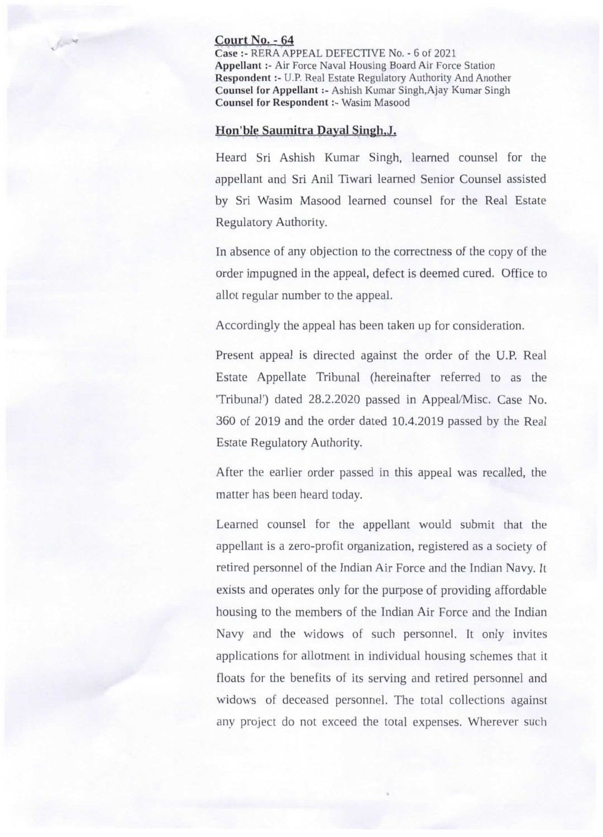## Court No. - 64

Case :- RERA APPEAL DEFECTIVE No. - 6 of 2021 Appellant :- Air Force Naval Housing Board Air Force Station Respondent :- U.P. Real Estate Regulatory Authority And Another Counsel for Appellant :- Ashish Kumar Singh,Ajay Kumar Singh Counsel for Respondent :- Wasim Masood

## Hon'ble Saumitra Dayal Singh, J.

Heard Sri Ashish Kumar Singh, learned counsel for the appellant and Sri Anil Tiwari learned Senior Counsel assisted by Sri Wasim Masood learned counsel for the Real Estate Regulatory Authority.

In absence of any objection to the correctness of the copy of the order impugned in the appeal, defect is deemed cured. Office to allot regular number to the appeal.

Accordingly tbe appeal has been taken up for consideration.

Present appeal is directed against the order of the U.P. Real Estate Appellate Tribunal (hereinafter referred to as the 'Tribunal') dated 28.2.2020 passed in AppeaJ/Misc. Case No. 360 of 2019 and the order dated 10.4.2019 passed by the Real Estate Regulatory Authority.

After the earlier order passed in this appeal was recalled, the matter has been heard today.

Learned counsel for the appellant would submit that the appellant is a zero-profit organization, registered as a society of retired personnel of the Indian Air Force and the Indian Navy. It exists and operates only for the purpose of providing affordable housing to the members of the Indian Air Force and the Indian Navy and the widows of such personnel. It only invites applications for allotment in individual housing schemes that it floats for the benefits of its serving and retired personnel and widows of deceased personnel. The total collections against any project do not exceed the total expenses. Wherever such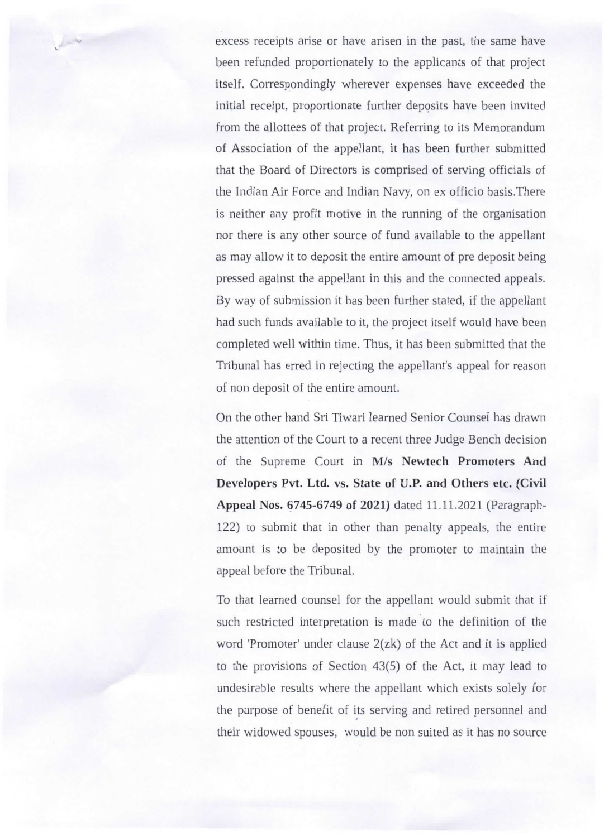excess receipts arise or have arisen in the past, the same have been refunded proportionately to the applicants of that project itself. Correspondingly wherever expenses have exceeded the initial receipt, proportionate further deposits have been invited from the allottees of that project. Referring to its Memorandum of Association of the appellant, it has been further submitted that the Board of Directors is comprised of serving officials of the Indian Air Force and Indian Navy, on ex officio basis.There is neither any profit motive in the running of the organisation nor there is any other source of fund available to the appellant as may allow it to deposit the entire amount of pre deposit being pressed against the appellant in this and the connected appeals. By way of submission it has been further stated, if the appellant had such funds available to it, the project itself would have been completed well within time. Thus, it has been submitted that the Tribunal has erred in rejecting the appellant's appeal for reason of non deposit of the entire amount.

 $\mathcal{L}$ 

On the other hand Sri Tiwari learned Senior Counsel has drawn the attention of the Court to a recent three Judge Bench decision of the Supreme Court in *Mis* **Newtech Promoters And Developers Pvt. Ltd.** vs. **State of U.P. and Others etc. (Civil** Appeal Nos. 6745-6749 of 2021) dated 11.11.2021 (Paragraph-122) to submit that in other than penalty appeals, the entire amount is to be deposited by the promoter to maintain the appeal before the Tribunal.

To that learned counsel for the appellant would submit that if such restricted interpretation is made to the definition of the word 'Promoter' under clause 2(zk) of the Act and it is applied to the provisions of Section 43(5) of the Act, it may lead to undesirable results where the appellant which exists solely for the purpose of benefit of its serving and retired personnel and their widowed spouses, would be non suited as it has no source